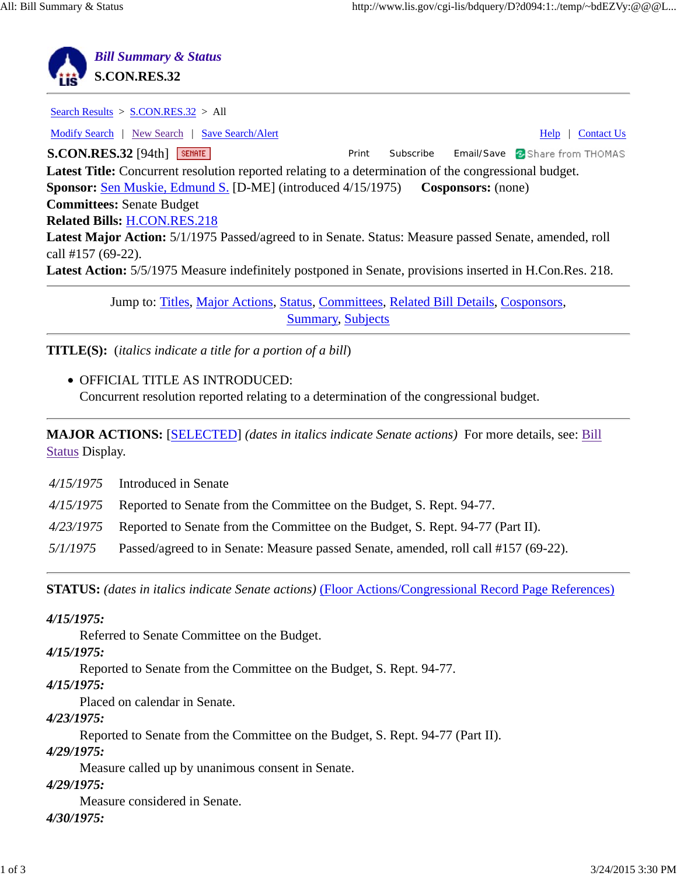

Search Results > S.CON.RES.32 > All Modify Search | New Search | Save Search/Alert Help | Contact Us **S.CON.RES.32** [94th] **SEMATE Example 2 | State Constrainer Print Subscribe Email/Save <b>8** Share from THOMAS **Latest Title:** Concurrent resolution reported relating to a determination of the congressional budget. **Sponsor:** Sen Muskie, Edmund S. [D-ME] (introduced 4/15/1975) **Cosponsors:** (none) **Committees:** Senate Budget **Related Bills:** H.CON.RES.218 **Latest Major Action:** 5/1/1975 Passed/agreed to in Senate. Status: Measure passed Senate, amended, roll call #157 (69-22). **Latest Action:** 5/5/1975 Measure indefinitely postponed in Senate, provisions inserted in H.Con.Res. 218.

> Jump to: Titles, Major Actions, Status, Committees, Related Bill Details, Cosponsors, Summary, Subjects

**TITLE(S):** (*italics indicate a title for a portion of a bill*)

OFFICIAL TITLE AS INTRODUCED: Concurrent resolution reported relating to a determination of the congressional budget.

**MAJOR ACTIONS:** [SELECTED] *(dates in italics indicate Senate actions)* For more details, see: Bill Status Display.

|          | $4/15/1975$ Introduced in Senate                                                           |
|----------|--------------------------------------------------------------------------------------------|
|          | 4/15/1975 Reported to Senate from the Committee on the Budget, S. Rept. 94-77.             |
|          | $4/23/1975$ Reported to Senate from the Committee on the Budget, S. Rept. 94-77 (Part II). |
| 5/1/1975 | Passed/agreed to in Senate: Measure passed Senate, amended, roll call #157 (69-22).        |

**STATUS:** *(dates in italics indicate Senate actions)* (Floor Actions/Congressional Record Page References)

*4/15/1975:*

Referred to Senate Committee on the Budget.

*4/15/1975:*

Reported to Senate from the Committee on the Budget, S. Rept. 94-77.

*4/15/1975:*

Placed on calendar in Senate.

*4/23/1975:*

Reported to Senate from the Committee on the Budget, S. Rept. 94-77 (Part II).

*4/29/1975:*

Measure called up by unanimous consent in Senate.

*4/29/1975:*

Measure considered in Senate.

*4/30/1975:*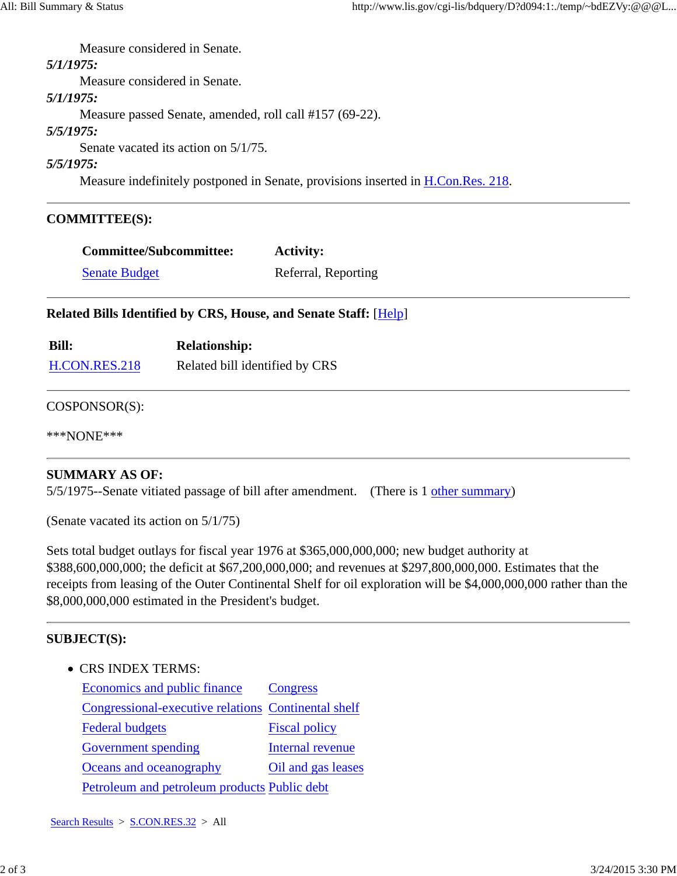Measure considered in Senate. *5/1/1975:*

Measure considered in Senate.

*5/1/1975:*

Measure passed Senate, amended, roll call #157 (69-22).

*5/5/1975:*

Senate vacated its action on 5/1/75.

*5/5/1975:*

Measure indefinitely postponed in Senate, provisions inserted in H.Con.Res. 218.

# **COMMITTEE(S):**

| <b>Committee/Subcommittee:</b> | <b>Activity:</b>    |
|--------------------------------|---------------------|
| <b>Senate Budget</b>           | Referral, Reporting |

# **Related Bills Identified by CRS, House, and Senate Staff:** [Help]

| <b>Bill:</b>  | <b>Relationship:</b>           |
|---------------|--------------------------------|
| H.CON.RES.218 | Related bill identified by CRS |

### COSPONSOR(S):

\*\*\*NONE\*\*\*

# **SUMMARY AS OF:**

5/5/1975--Senate vitiated passage of bill after amendment. (There is 1 other summary)

(Senate vacated its action on 5/1/75)

Sets total budget outlays for fiscal year 1976 at \$365,000,000,000; new budget authority at \$388,600,000,000; the deficit at \$67,200,000,000; and revenues at \$297,800,000,000. Estimates that the receipts from leasing of the Outer Continental Shelf for oil exploration will be \$4,000,000,000 rather than the \$8,000,000,000 estimated in the President's budget.

# **SUBJECT(S):**

• CRS INDEX TERMS:

Economics and public finance Congress Congressional-executive relations Continental shelf Federal budgets Fiscal policy Government spending Internal revenue Oceans and oceanography Oil and gas leases Petroleum and petroleum products Public debt

Search Results > S.CON.RES.32 > All